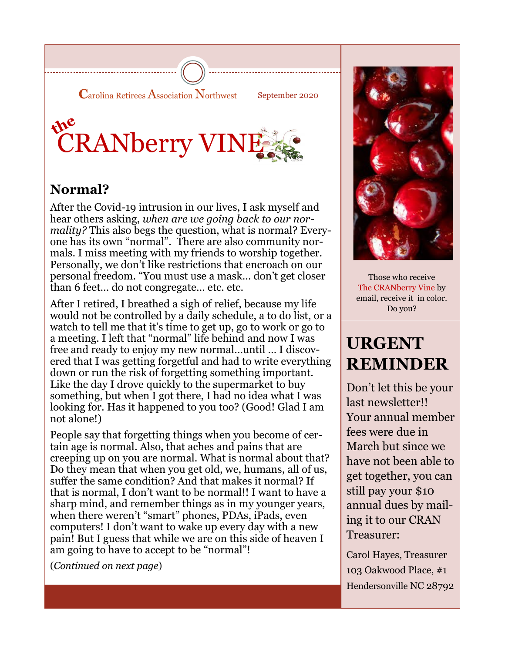



### **Normal?**

After the Covid-19 intrusion in our lives, I ask myself and hear others asking, *when are we going back to our normality?* This also begs the question, what is normal? Everyone has its own "normal". There are also community normals. I miss meeting with my friends to worship together. Personally, we don't like restrictions that encroach on our personal freedom. "You must use a mask… don't get closer than 6 feet… do not congregate… etc. etc.

After I retired, I breathed a sigh of relief, because my life would not be controlled by a daily schedule, a to do list, or a watch to tell me that it's time to get up, go to work or go to a meeting. I left that "normal" life behind and now I was free and ready to enjoy my new normal…until … I discovered that I was getting forgetful and had to write everything down or run the risk of forgetting something important. Like the day I drove quickly to the supermarket to buy something, but when I got there, I had no idea what I was looking for. Has it happened to you too? (Good! Glad I am not alone!)

People say that forgetting things when you become of certain age is normal. Also, that aches and pains that are creeping up on you are normal. What is normal about that? Do they mean that when you get old, we, humans, all of us, suffer the same condition? And that makes it normal? If that is normal, I don't want to be normal!! I want to have a sharp mind, and remember things as in my younger years, when there weren't "smart" phones, PDAs, iPads, even computers! I don't want to wake up every day with a new pain! But I guess that while we are on this side of heaven I am going to have to accept to be "normal"!

(*Continued on next page*)



Those who receive The CRANberry Vine by email, receive it in color. Do you?

### **URGENT REMINDER**

Don't let this be your last newsletter!! Your annual member fees were due in March but since we have not been able to get together, you can still pay your \$10 annual dues by mailing it to our CRAN Treasurer:

Carol Hayes, Treasurer 103 Oakwood Place, #1 Hendersonville NC 28792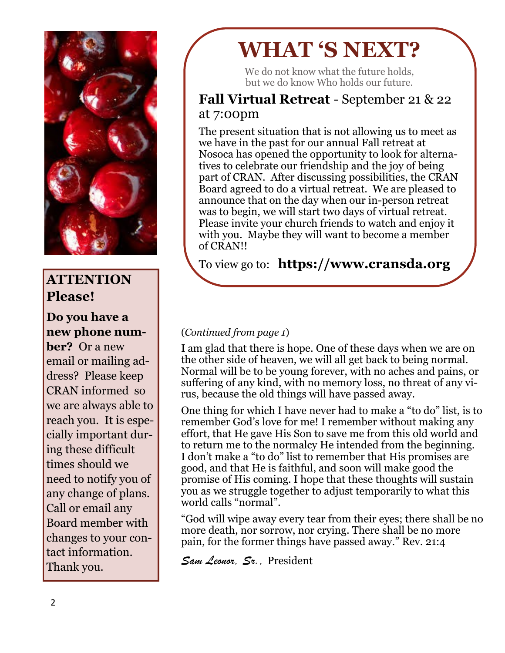

### **ATTENTION Please!**

### **Do you have a new phone num-**

**ber?** Or a new email or mailing address? Please keep CRAN informed so we are always able to reach you. It is especially important during these difficult times should we need to notify you of any change of plans. Call or email any Board member with changes to your contact information. Thank you.

# **WHAT 'S NEXT?**

We do not know what the future holds. but we do know Who holds our future.

### **Fall Virtual Retreat** - September 21 & 22 at 7:00pm

The present situation that is not allowing us to meet as we have in the past for our annual Fall retreat at Nosoca has opened the opportunity to look for alternatives to celebrate our friendship and the joy of being part of CRAN. After discussing possibilities, the CRAN Board agreed to do a virtual retreat. We are pleased to announce that on the day when our in-person retreat was to begin, we will start two days of virtual retreat. Please invite your church friends to watch and enjoy it with you. Maybe they will want to become a member of CRAN!!

To view go to: **https://www.cransda.org**

### (*Continued from page 1*)

I am glad that there is hope. One of these days when we are on the other side of heaven, we will all get back to being normal. Normal will be to be young forever, with no aches and pains, or suffering of any kind, with no memory loss, no threat of any virus, because the old things will have passed away.

One thing for which I have never had to make a "to do" list, is to remember God's love for me! I remember without making any effort, that He gave His Son to save me from this old world and to return me to the normalcy He intended from the beginning. I don't make a "to do" list to remember that His promises are good, and that He is faithful, and soon will make good the promise of His coming. I hope that these thoughts will sustain you as we struggle together to adjust temporarily to what this world calls "normal".

"God will wipe away every tear from their eyes; there shall be no more death, nor sorrow, nor crying. There shall be no more pain, for the former things have passed away." Rev. 21:4

*Sam Leonor, Sr.,* President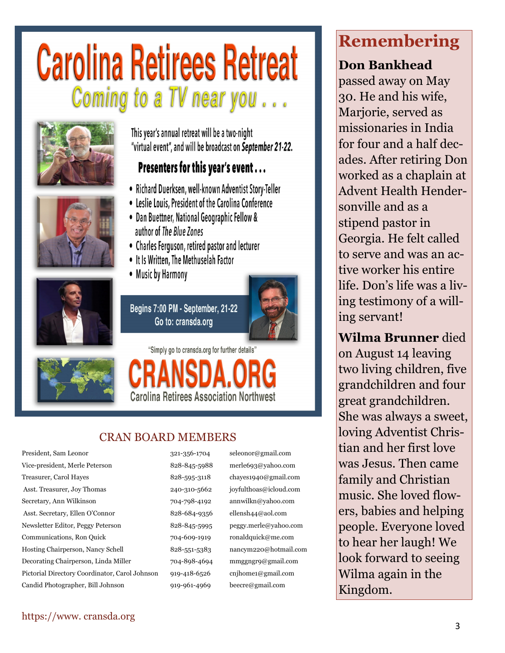# **Carolina Retirees Retreat** Coming to a TV near you...







This year's annual retreat will be a two-night "virtual event", and will be broadcast on September 21-22.

### Presenters for this year's event...

- · Richard Duerksen, well-known Adventist Story-Teller
- Leslie Louis, President of the Carolina Conference
- Dan Buettner, National Geographic Fellow & author of The Blue Zones
- Charles Ferguson, retired pastor and lecturer
- It Is Written, The Methuselah Factor
- Music by Harmony

Begins 7:00 PM - September, 21-22 Go to: cransda.org



"Simply go to cransda.org for further details" **Carolina Retirees Association Northwest** 

### CRAN BOARD MEMBERS

President, Sam Leonor 321-356-1704 seleonor@gmail.com Vice-president, Merle Peterson 828-845-5988 merle693@yahoo.com Treasurer, Carol Hayes 628-595-3118 chayes1940@gmail.com Asst. Treasurer, Joy Thomas 240-310-5662 joyfulthoas@icloud.com Secretary, Ann Wilkinson 704-798-4192 annwilkn@yahoo.com Asst. Secretary, Ellen O'Connor 828-684-9356 ellensh44@aol.com Newsletter Editor, Peggy Peterson 828-845-5995 peggy.merle@yahoo.com Communications, Ron Quick 704-609-1919 ronaldquick@me.com Hosting Chairperson, Nancy Schell 828-551-5383 nancym220@hotmail.com Decorating Chairperson, Linda Miller 704-898-4694 mmggngr9@gmail.com Pictorial Directory Coordinator, Carol Johnson 919-418-6526 cnjhome1@gmail.com Candid Photographer, Bill Johnson 919-961-4969 beecre@gmail.com

## **REMEMBERING Remembering**

### **Don Bankhead Don Bankhead**

passed away on passed away on May 30. He and his wife, Marjorie, served as missionaries in India for four and a half decades. After retiring Don worked as a chaplain at dined as a enapre avent rietutin rietus<br>11 11 11  $\frac{1}{1}$ Hvilit and as a stipend pastor in Georgia. He felt called to serve and was an active worker his entire life. Don's life was a living testimony of a willing servant! Advent Health Hendersonville and as a

 $\mathbf{r}$ :  $\mathbf{r}$  $\frac{1}{4}$  served in  $\frac{1}{4}$  set  $\frac{1}{4}$ two living children, five grandchildren and four great grandchildren. bered al district de  $\frac{1}{2}$  character Christian Christian Christian Christian Christian Christian Christian Christian Christian Christian Christian Christian Christian Christian Christian Christian Christian Christian Christian Christian C loving Adventist Chris- $\frac{1}{2}$  tian and her first love was Jesus. Then came family and Christian music. She loved flowers, babies and helping people. Everyone loved to hear her laugh! We look forward to seeing Wilma again in the Kingdom. **Wilma Brunner** died on August 14 leaving She was always a sweet,

### https://www. cransda.org